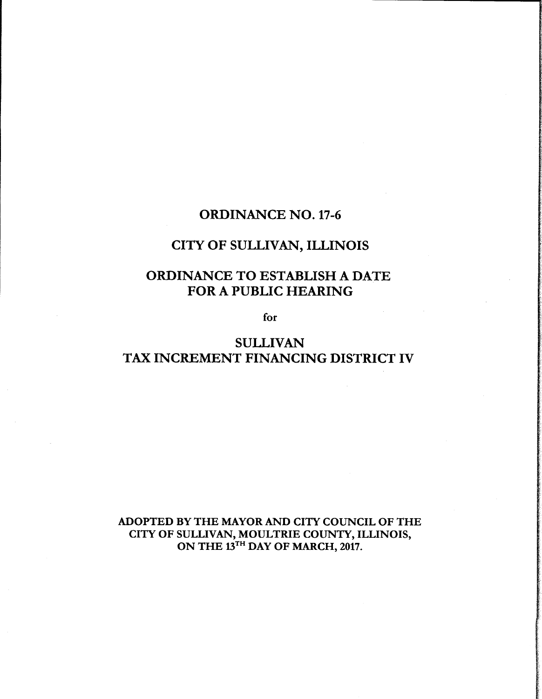### ORDINANCE NO. 17-6

## CITY OF SULLIVAN, ILLINOIS

# ORDINANCE TO ESTABLISH A DATE FOR A PUBLIC HEARING

for

# SULLIVAN TAX INCREMENT FINANCING DISTRICT IV

ADOPTED BY THE MAYOR AND CITY COUNCIL OF THE CITY OF SULLIVAN, MOULTRIE COUNTY, ILLINOIS, ON THE 13<sup>TH</sup> DAY OF MARCH, 2017.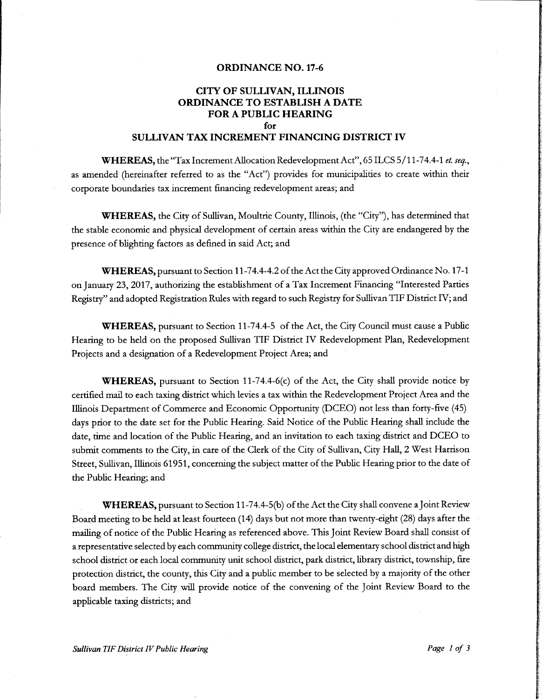#### ORDINANCE NO. 17-6

### CITY OF SULLIVAN, ILLINOIS ORDINANCE TO ESTABLISH A DATE FOR A PUBLIC HEARING for

#### SULLIVAN TAX INCREMENT FINANCING DISTRICT IV

WHEREAS, the "Tax Increment Allocation Redevelopment Act", 65 ILCS 5/11-74.4-1 et. seq., as amended (hereinafter referred to as the "Act") provides for municipalities to create within their corporate boundaries tax increment financing redevelopment areas; and

**WHEREAS,** the City of Sullivan, Moultrie County, Illinois, (the "City"), has determined that the stable economic and physical development of certain areas within the City are endangered by the presence of blighting factors as defined in said Act; and

WHEREAS, pursuant to Section 11-74.4-4.2 of the Act the City approved Ordinance No. 17-1 on January 23, 2017, authorizing the establishment of <sup>a</sup> Tax Increment Financing" Interested Parties Registry" and adopted Registration Rules with regard to such Registry for Sullivan TIF District IV;and

WHEREAS, pursuant to Section 11-74.4-5 of the Act, the City Council must cause a Public Hearing to be held on the proposed Sullivan TIF District IV Redevelopment Plan, Redevelopment Projects and <sup>a</sup> designation of <sup>a</sup> Redevelopment Project Area; and

**WHEREAS,** pursuant to Section 11-74.4-6(c) of the Act, the City shall provide notice by certified mail to each taxing district which levies <sup>a</sup> tax within the Redevelopment Project Area and the Illinois Department of Commerce and Economic Opportunity (DCEO) not less than forty-five (45) days prior to the date set for the Public Hearing. Said Notice of the Public Hearing shall include the date, time and location of the Public Hearing, and an invitation to each taxing district and DCEO to submit comments to the City, in care of the Clerk of the City of Sullivan, City Hall, 2 West Harrison Street, Sullivan, Illinois 61951, concerning the subject matter of the Public Hearing prior to the date of the Public Hearing; and

WHEREAS, pursuant to Section 11-74.4-5(b) of the Act the City shall convene a Joint Review Board meeting to be held at least fourteen (14) days but not more than twenty-eight (28) days after the mailing of notice of the Public Hearing as referenced above. This Joint Review Board shall consist of a representative selected by each community college district, the local elementary school district and high school district or each local community unit school district, park district, library district, township, fire protection district, the county, this City and <sup>a</sup> public member to be selected by <sup>a</sup> majority of the other board members. The City will provide notice of the convening of the Joint Review Board to the applicable taxing districts; and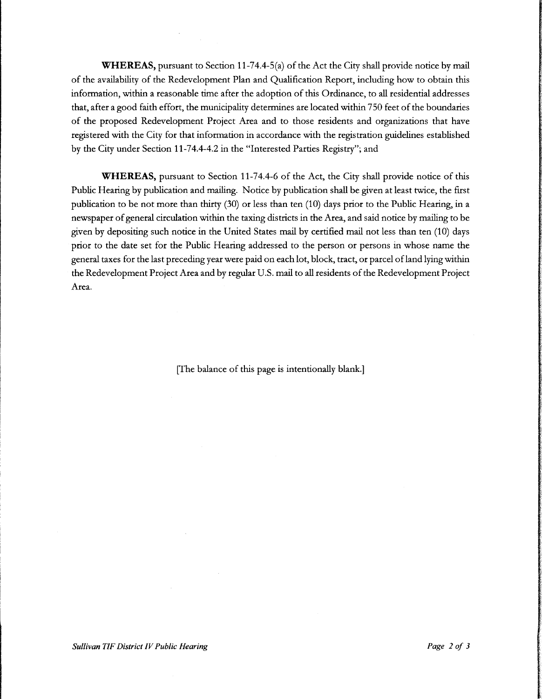WHEREAS, pursuant to Section 11-74.4-5(a) of the Act the City shall provide notice by mail of the availability of the Redevelopment Plan and Qualification Report, including how to obtain this information, within <sup>a</sup> reasonable time after the adoption of this Ordinance, to all residential addresses that, after <sup>a</sup> good faith effort, the municipality determines are located within 750 feet of the boundaries of the proposed Redevelopment Project Area and to those residents and organizations that have registered with the City for that information in accordance with the registration guidelines established by the City under Section 11-74.4-4.2 in the "Interested Parties Registry"; and

WHEREAS, pursuant to Section 11-74.4-6 of the Act, the City shall provide notice of this Public Hearing by publication and mailing. Notice by publication shall be given at least twice, the first publication to be not more than thirty (30) or less than ten (10) days prior to the Public Hearing, in a newspaper ofgeneral circulation within the taxing districts in the Area, and said notice by mailing to be given by depositing such notice in the United States mail by certified mail not less than ten ( 10) days prior to the date set for the Public Hearing addressed to the person or persons in whose name the general taxes for the last preceding year were paid on each lot, block, tract, or parcel ofland lying within the Redevelopment Project Area and by regular U.S. mail to all residents of the Redevelopment Project Area.

The balance of this page is intentionally blank.]